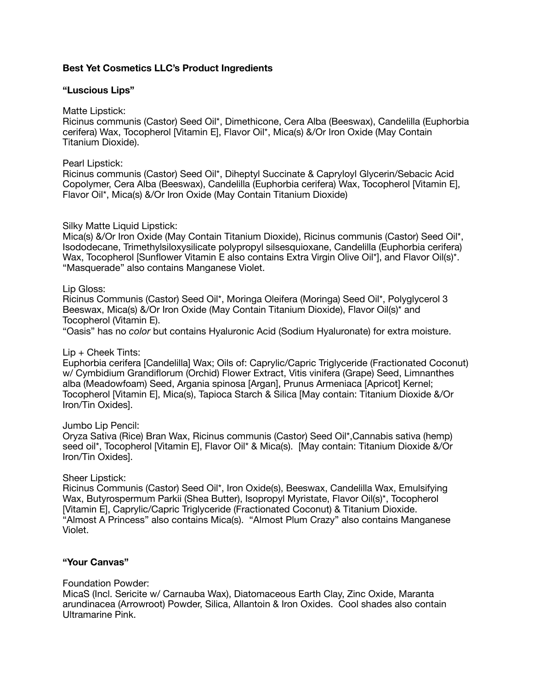# **Best Yet Cosmetics LLC's Product Ingredients**

## **"Luscious Lips"**

Matte Lipstick:

Ricinus communis (Castor) Seed Oil\*, Dimethicone, Cera Alba (Beeswax), Candelilla (Euphorbia cerifera) Wax, Tocopherol [Vitamin E], Flavor Oil\*, Mica(s) &/Or Iron Oxide (May Contain Titanium Dioxide).

#### Pearl Lipstick:

Ricinus communis (Castor) Seed Oil\*, Diheptyl Succinate & Capryloyl Glycerin/Sebacic Acid Copolymer, Cera Alba (Beeswax), Candelilla (Euphorbia cerifera) Wax, Tocopherol [Vitamin E], Flavor Oil\*, Mica(s) &/Or Iron Oxide (May Contain Titanium Dioxide)

## Silky Matte Liquid Lipstick:

Mica(s) &/Or Iron Oxide (May Contain Titanium Dioxide), Ricinus communis (Castor) Seed Oil\*, Isododecane, Trimethylsiloxysilicate polypropyl silsesquioxane, Candelilla (Euphorbia cerifera) Wax, Tocopherol [Sunflower Vitamin E also contains Extra Virgin Olive Oil\*], and Flavor Oil(s)\*. "Masquerade" also contains Manganese Violet.

#### Lip Gloss:

Ricinus Communis (Castor) Seed Oil\*, Moringa Oleifera (Moringa) Seed Oil\*, Polyglycerol 3 Beeswax, Mica(s) &/Or Iron Oxide (May Contain Titanium Dioxide), Flavor Oil(s)\* and Tocopherol (Vitamin E).

"Oasis" has no *color* but contains Hyaluronic Acid (Sodium Hyaluronate) for extra moisture.

## Lip + Cheek Tints:

Euphorbia cerifera [Candelilla] Wax; Oils of: Caprylic/Capric Triglyceride (Fractionated Coconut) w/ Cymbidium Grandiflorum (Orchid) Flower Extract, Vitis vinifera (Grape) Seed, Limnanthes alba (Meadowfoam) Seed, Argania spinosa [Argan], Prunus Armeniaca [Apricot] Kernel; Tocopherol [Vitamin E], Mica(s), Tapioca Starch & Silica [May contain: Titanium Dioxide &/Or Iron/Tin Oxides].

#### Jumbo Lip Pencil:

Oryza Sativa (Rice) Bran Wax, Ricinus communis (Castor) Seed Oil\*,Cannabis sativa (hemp) seed oil\*, Tocopherol [Vitamin E], Flavor Oil\* & Mica(s). [Mav contain: Titanium Dioxide &/Or Iron/Tin Oxides].

## Sheer Lipstick:

Ricinus Communis (Castor) Seed Oil\*, Iron Oxide(s), Beeswax, Candelilla Wax, Emulsifying Wax, Butyrospermum Parkii (Shea Butter), Isopropyl Myristate, Flavor Oil(s)\*, Tocopherol [Vitamin E], Caprylic/Capric Triglyceride (Fractionated Coconut) & Titanium Dioxide. "Almost A Princess" also contains Mica(s). "Almost Plum Crazy" also contains Manganese Violet.

## **"Your Canvas"**

Foundation Powder:

MicaS (Incl. Sericite w/ Carnauba Wax), Diatomaceous Earth Clay, Zinc Oxide, Maranta arundinacea (Arrowroot) Powder, Silica, Allantoin & Iron Oxides. Cool shades also contain Ultramarine Pink.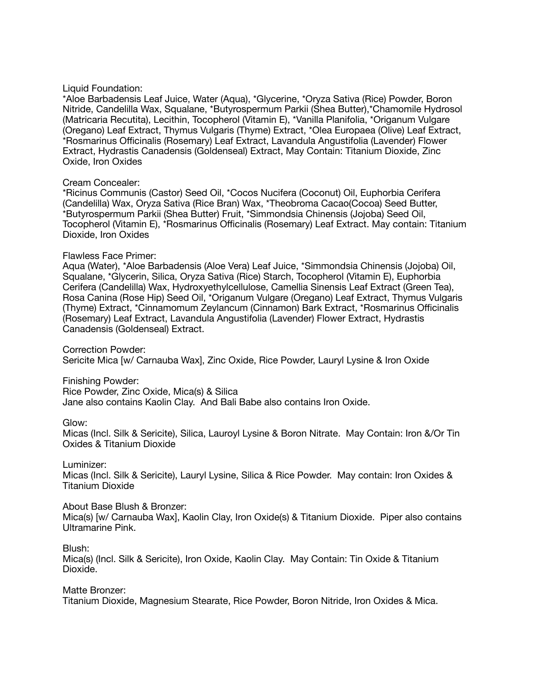#### Liquid Foundation:

\*Aloe Barbadensis Leaf Juice, Water (Aqua), \*Glycerine, \*Oryza Sativa (Rice) Powder, Boron Nitride, Candelilla Wax, Squalane, \*Butyrospermum Parkii (Shea Butter),\*Chamomile Hydrosol (Matricaria Recutita), Lecithin, Tocopherol (Vitamin E), \*Vanilla Planifolia, \*Origanum Vulgare (Oregano) Leaf Extract, Thymus Vulgaris (Thyme) Extract, \*Olea Europaea (Olive) Leaf Extract, \*Rosmarinus Officinalis (Rosemary) Leaf Extract, Lavandula Angustifolia (Lavender) Flower Extract, Hydrastis Canadensis (Goldenseal) Extract, May Contain: Titanium Dioxide, Zinc Oxide, Iron Oxides

#### Cream Concealer:

\*Ricinus Communis (Castor) Seed Oil, \*Cocos Nucifera (Coconut) Oil, Euphorbia Cerifera (Candelilla) Wax, Oryza Sativa (Rice Bran) Wax, \*Theobroma Cacao(Cocoa) Seed Butter, \*Butyrospermum Parkii (Shea Butter) Fruit, \*Simmondsia Chinensis (Jojoba) Seed Oil, Tocopherol (Vitamin E), \*Rosmarinus Officinalis (Rosemary) Leaf Extract. May contain: Titanium Dioxide, Iron Oxides

#### Flawless Face Primer:

Aqua (Water), \*Aloe Barbadensis (Aloe Vera) Leaf Juice, \*Simmondsia Chinensis (Jojoba) Oil, Squalane, \*Glycerin, Silica, Oryza Sativa (Rice) Starch, Tocopherol (Vitamin E), Euphorbia Cerifera (Candelilla) Wax, Hydroxyethylcellulose, Camellia Sinensis Leaf Extract (Green Tea), Rosa Canina (Rose Hip) Seed Oil, \*Origanum Vulgare (Oregano) Leaf Extract, Thymus Vulgaris (Thyme) Extract, \*Cinnamomum Zeylancum (Cinnamon) Bark Extract, \*Rosmarinus Officinalis (Rosemary) Leaf Extract, Lavandula Angustifolia (Lavender) Flower Extract, Hydrastis Canadensis (Goldenseal) Extract.

Correction Powder: Sericite Mica [w/ Carnauba Wax], Zinc Oxide, Rice Powder, Lauryl Lysine & Iron Oxide

Finishing Powder:

Rice Powder, Zinc Oxide, Mica(s) & Silica Jane also contains Kaolin Clay. And Bali Babe also contains Iron Oxide.

Glow:

Micas (Incl. Silk & Sericite), Silica, Lauroyl Lysine & Boron Nitrate. May Contain: Iron &/Or Tin Oxides & Titanium Dioxide

Luminizer:

Micas (Incl. Silk & Sericite), Lauryl Lysine, Silica & Rice Powder. May contain: Iron Oxides & Titanium Dioxide

#### About Base Blush & Bronzer:

Mica(s) [w/ Carnauba Wax], Kaolin Clay, Iron Oxide(s) & Titanium Dioxide. Piper also contains Ultramarine Pink.

## Blush:

Mica(s) (Incl. Silk & Sericite), Iron Oxide, Kaolin Clay. May Contain: Tin Oxide & Titanium Dioxide.

Matte Bronzer:

Titanium Dioxide, Magnesium Stearate, Rice Powder, Boron Nitride, Iron Oxides & Mica.